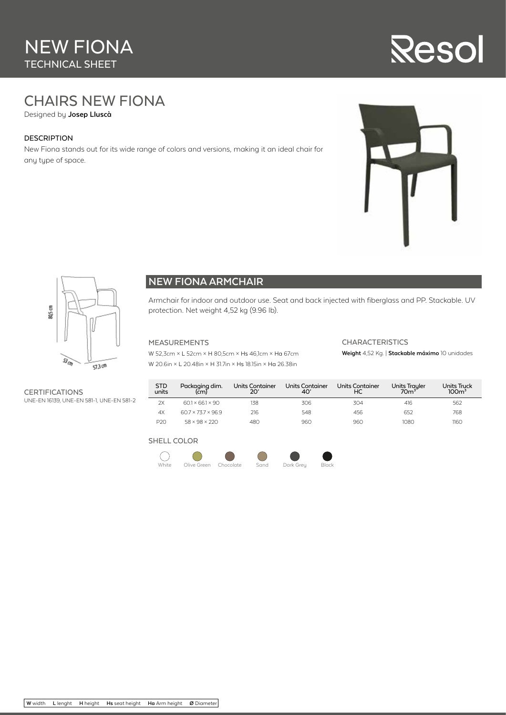# NEW FIONA TECHNICAL SHEET

# **Resol**

# CHAIRS NEW FIONA

Designed by **Josep Lluscà**

#### DESCRIPTION

New Fiona stands out for its wide range of colors and versions, making it an ideal chair for any type of space.





### **NEW FIONA ARMCHAIR**

Armchair for indoor and outdoor use. Seat and back injected with fiberglass and PP. Stackable. UV protection. Net weight 4,52 kg (9.96 lb).

#### MEASUREMENTS

W 52,3cm × L 52cm × H 80,5cm × Hs 46,1cm × Ha 67cm W 20.6in × L 20.48in × H 31.7in × Hs 18.15in × Ha 26.38in

#### CHARACTERISTICS

**Weight** 4,52 Kg. | **Stackable máximo** 10 unidades

**CERTIFICATIONS** UNE-EN 16139, UNE-EN 581-1, UNE-EN 581-2

| <b>STD</b><br>units | Packaging dim.<br>(c <sub>m</sub> ) | <b>Units Container</b><br>20' | <b>Units Container</b><br>40' | <b>Units Container</b><br>НC | <b>Units Trayler</b><br>70 <sup>3</sup> | <b>Units Truck</b><br>100 <sup>3</sup> |
|---------------------|-------------------------------------|-------------------------------|-------------------------------|------------------------------|-----------------------------------------|----------------------------------------|
| 2X                  | $601 \times 661 \times 90$          | 138                           | 306                           | 304                          | 416                                     | 562                                    |
| 4X                  | 60.7 × 73.7 × 96.9                  | 216                           | 548                           | 456                          | 652                                     | 768                                    |
| P20                 | $58 \times 98 \times 220$           | 480                           | 960                           | 960                          | 1080                                    | 1160                                   |

#### SHELL COLOR

 $\overline{\phantom{a}}$